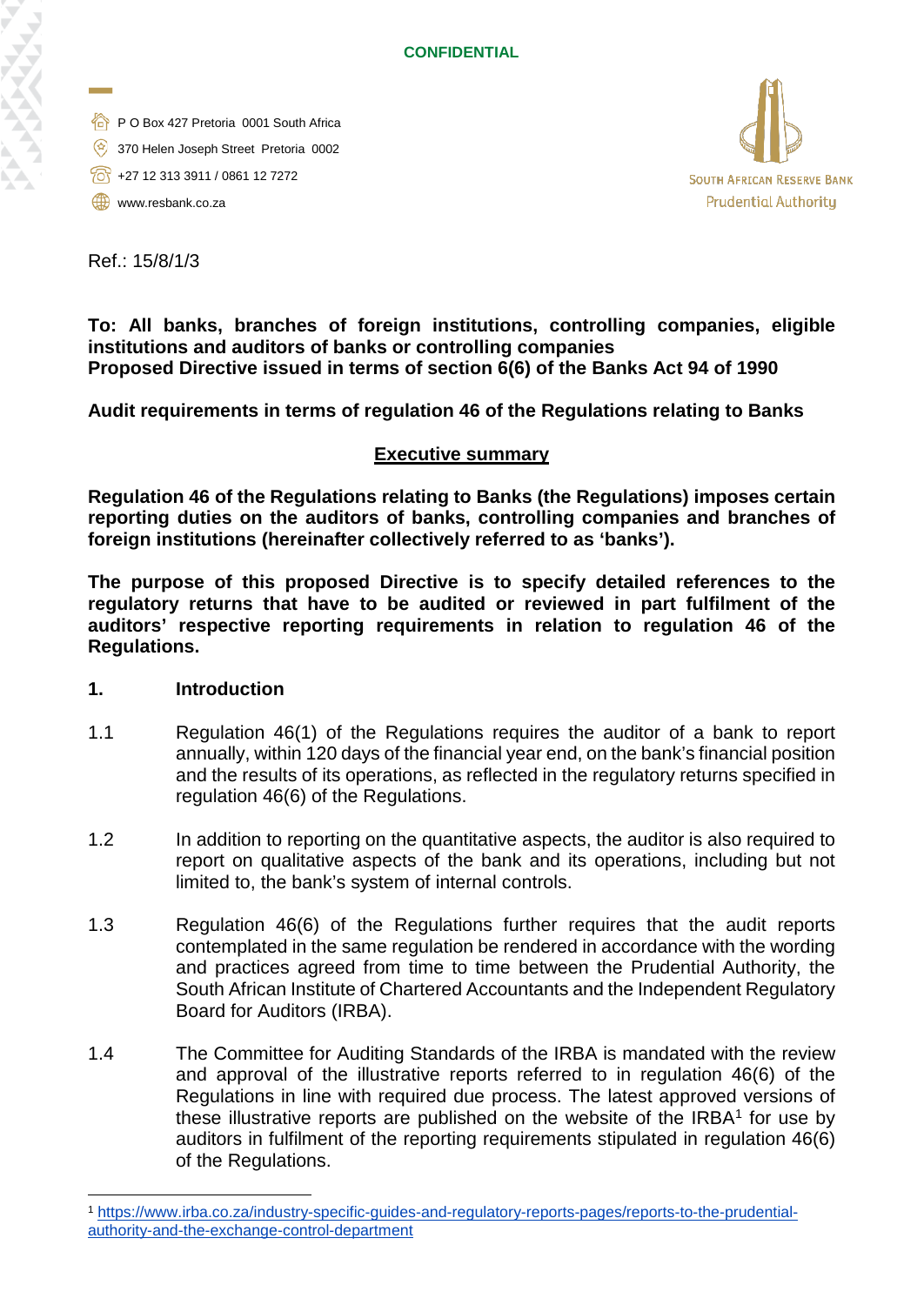- P O Box 427 Pretoria 0001 South Africa
- 370 Helen Joseph Street Pretoria 0002
- $\sqrt{60}$  +27 12 313 3911 / 0861 12 7272
- www.resbank.co.za



Ref.: 15/8/1/3

**To: All banks, branches of foreign institutions, controlling companies, eligible institutions and auditors of banks or controlling companies Proposed Directive issued in terms of section 6(6) of the Banks Act 94 of 1990**

**Audit requirements in terms of regulation 46 of the Regulations relating to Banks**

### **Executive summary**

**Regulation 46 of the Regulations relating to Banks (the Regulations) imposes certain reporting duties on the auditors of banks, controlling companies and branches of foreign institutions (hereinafter collectively referred to as 'banks').** 

**The purpose of this proposed Directive is to specify detailed references to the regulatory returns that have to be audited or reviewed in part fulfilment of the auditors' respective reporting requirements in relation to regulation 46 of the Regulations.**

#### **1. Introduction**

- 1.1 Regulation 46(1) of the Regulations requires the auditor of a bank to report annually, within 120 days of the financial year end, on the bank's financial position and the results of its operations, as reflected in the regulatory returns specified in regulation 46(6) of the Regulations.
- 1.2 In addition to reporting on the quantitative aspects, the auditor is also required to report on qualitative aspects of the bank and its operations, including but not limited to, the bank's system of internal controls.
- 1.3 Regulation 46(6) of the Regulations further requires that the audit reports contemplated in the same regulation be rendered in accordance with the wording and practices agreed from time to time between the Prudential Authority, the South African Institute of Chartered Accountants and the Independent Regulatory Board for Auditors (IRBA).
- 1.4 The Committee for Auditing Standards of the IRBA is mandated with the review and approval of the illustrative reports referred to in regulation 46(6) of the Regulations in line with required due process. The latest approved versions of these illustrative reports are published on the website of the  $IRBA<sup>1</sup>$  $IRBA<sup>1</sup>$  $IRBA<sup>1</sup>$  for use by auditors in fulfilment of the reporting requirements stipulated in regulation 46(6) of the Regulations.

<span id="page-0-0"></span> <sup>1</sup> [https://www.irba.co.za/industry-specific-guides-and-regulatory-reports-pages/reports-to-the-prudential](https://www.irba.co.za/industry-specific-guides-and-regulatory-reports-pages/reports-to-the-prudential-authority-and-the-exchange-control-department)[authority-and-the-exchange-control-department](https://www.irba.co.za/industry-specific-guides-and-regulatory-reports-pages/reports-to-the-prudential-authority-and-the-exchange-control-department)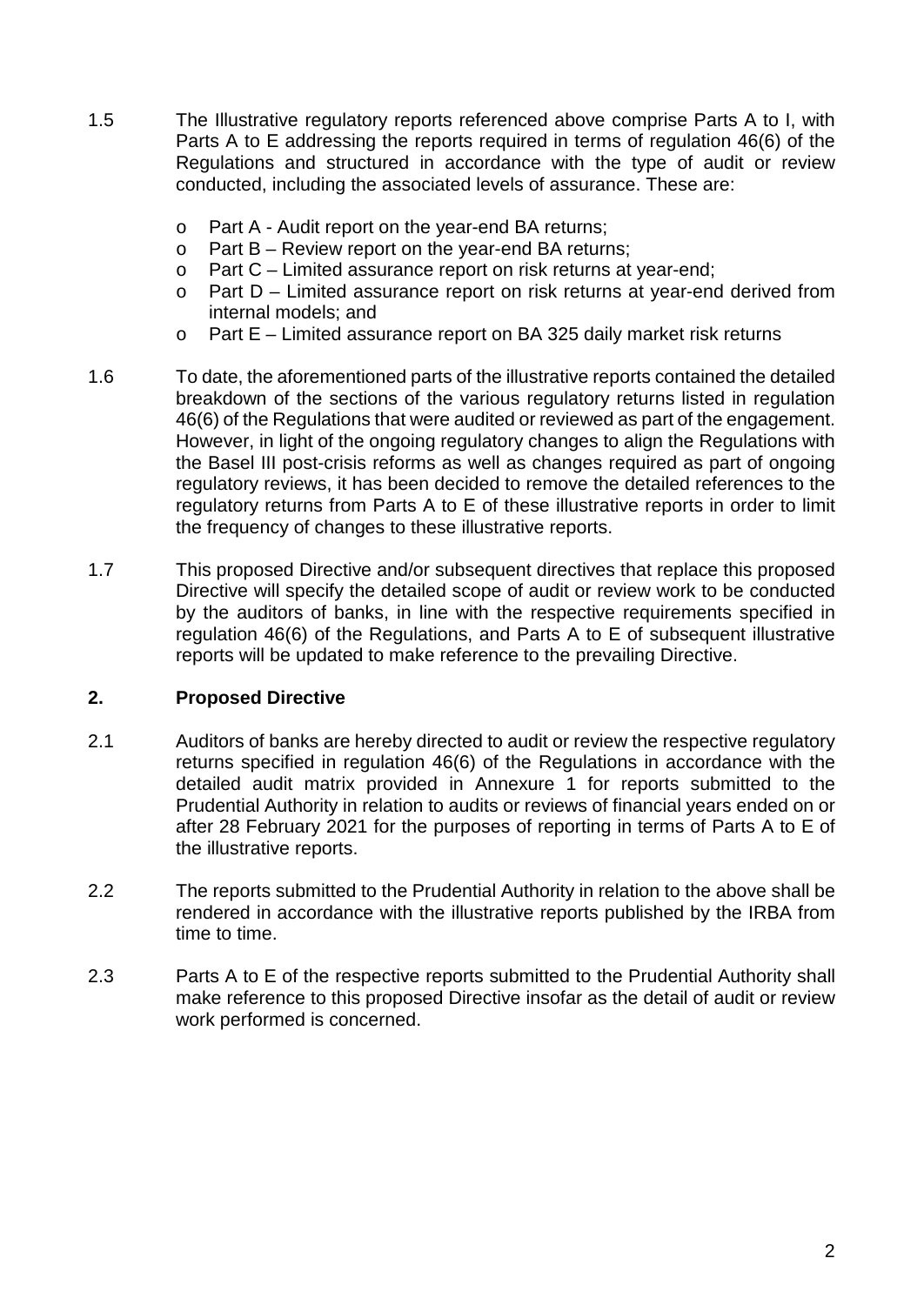- 1.5 The Illustrative regulatory reports referenced above comprise Parts A to I, with Parts A to E addressing the reports required in terms of regulation 46(6) of the Regulations and structured in accordance with the type of audit or review conducted, including the associated levels of assurance. These are:
	- o Part A Audit report on the year-end BA returns;<br>  $\circ$  Part B Review report on the year-end BA returr
	- Part  $B$  Review report on the year-end BA returns;
	- o Part C Limited assurance report on risk returns at year-end;<br>o Part D Limited assurance report on risk returns at vear-end
	- Part  $D$  Limited assurance report on risk returns at year-end derived from internal models; and
	- o Part E Limited assurance report on BA 325 daily market risk returns
- 1.6 To date, the aforementioned parts of the illustrative reports contained the detailed breakdown of the sections of the various regulatory returns listed in regulation 46(6) of the Regulations that were audited or reviewed as part of the engagement. However, in light of the ongoing regulatory changes to align the Regulations with the Basel III post-crisis reforms as well as changes required as part of ongoing regulatory reviews, it has been decided to remove the detailed references to the regulatory returns from Parts A to E of these illustrative reports in order to limit the frequency of changes to these illustrative reports.
- 1.7 This proposed Directive and/or subsequent directives that replace this proposed Directive will specify the detailed scope of audit or review work to be conducted by the auditors of banks, in line with the respective requirements specified in regulation 46(6) of the Regulations, and Parts A to E of subsequent illustrative reports will be updated to make reference to the prevailing Directive.

### **2. Proposed Directive**

- 2.1 Auditors of banks are hereby directed to audit or review the respective regulatory returns specified in regulation 46(6) of the Regulations in accordance with the detailed audit matrix provided in Annexure 1 for reports submitted to the Prudential Authority in relation to audits or reviews of financial years ended on or after 28 February 2021 for the purposes of reporting in terms of Parts A to E of the illustrative reports.
- 2.2 The reports submitted to the Prudential Authority in relation to the above shall be rendered in accordance with the illustrative reports published by the IRBA from time to time.
- 2.3 Parts A to E of the respective reports submitted to the Prudential Authority shall make reference to this proposed Directive insofar as the detail of audit or review work performed is concerned.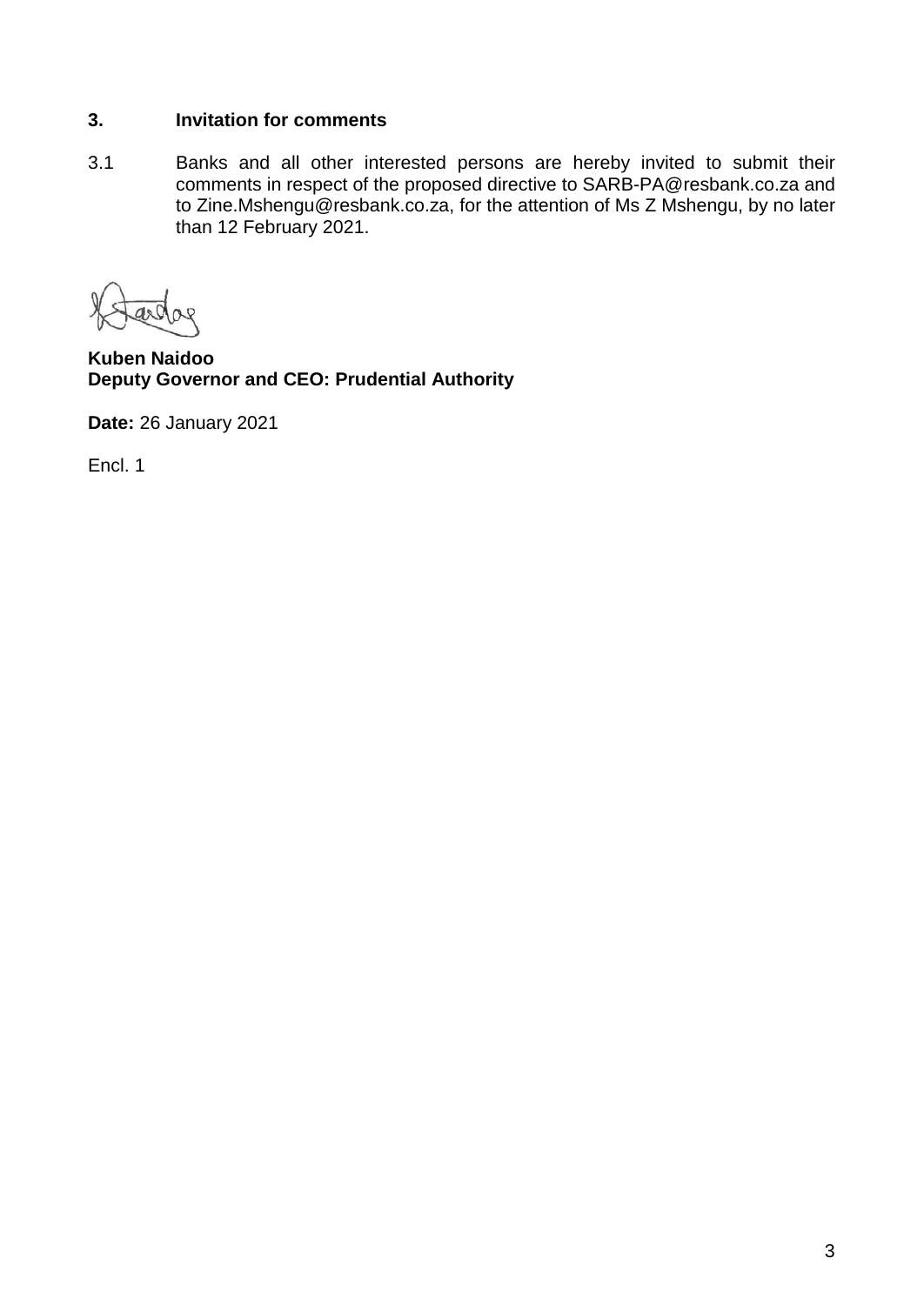## **3. Invitation for comments**

3.1 Banks and all other interested persons are hereby invited to submit their comments in respect of the proposed directive to SARB-PA@resbank.co.za and to Zine.Mshengu@resbank.co.za, for the attention of Ms Z Mshengu, by no later than 12 February 2021.

**Kuben Naidoo Deputy Governor and CEO: Prudential Authority**

**Date:** 26 January 2021

Encl. 1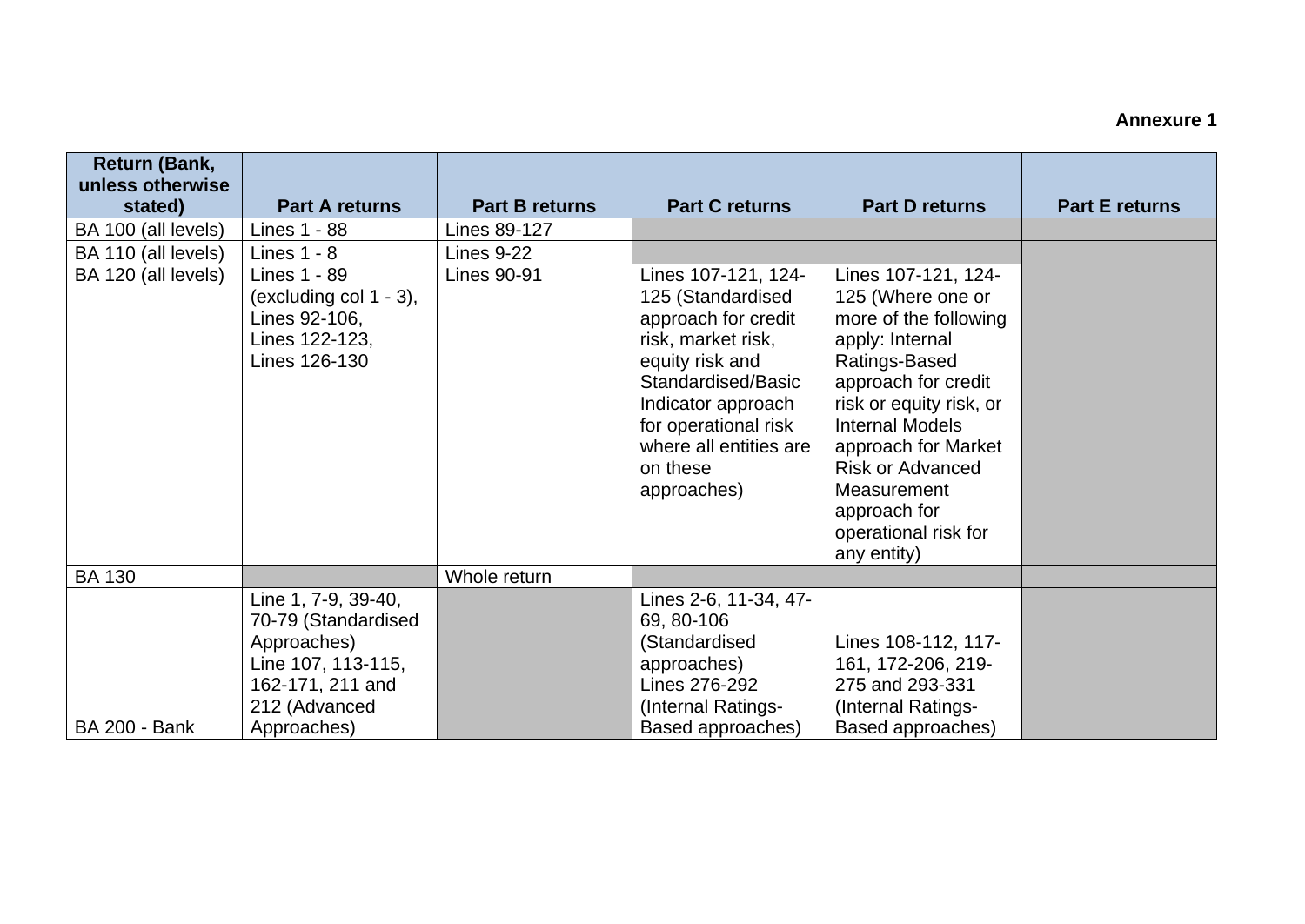# **Annexure 1**

| <b>Return (Bank,</b><br>unless otherwise |                                                                                                                                     |                       |                                                                                                                                                                                                                                   |                                                                                                                                                                                                                                                                                                           |                       |
|------------------------------------------|-------------------------------------------------------------------------------------------------------------------------------------|-----------------------|-----------------------------------------------------------------------------------------------------------------------------------------------------------------------------------------------------------------------------------|-----------------------------------------------------------------------------------------------------------------------------------------------------------------------------------------------------------------------------------------------------------------------------------------------------------|-----------------------|
| stated)                                  | <b>Part A returns</b>                                                                                                               | <b>Part B returns</b> | <b>Part C returns</b>                                                                                                                                                                                                             | <b>Part D returns</b>                                                                                                                                                                                                                                                                                     | <b>Part E returns</b> |
| BA 100 (all levels)                      | Lines 1 - 88                                                                                                                        | Lines 89-127          |                                                                                                                                                                                                                                   |                                                                                                                                                                                                                                                                                                           |                       |
| BA 110 (all levels)                      | Lines $1 - 8$                                                                                                                       | <b>Lines 9-22</b>     |                                                                                                                                                                                                                                   |                                                                                                                                                                                                                                                                                                           |                       |
| BA 120 (all levels)                      | Lines 1 - 89<br>(excluding col $1 - 3$ ),<br>Lines 92-106,<br>Lines 122-123,<br>Lines 126-130                                       | Lines 90-91           | Lines 107-121, 124-<br>125 (Standardised<br>approach for credit<br>risk, market risk,<br>equity risk and<br>Standardised/Basic<br>Indicator approach<br>for operational risk<br>where all entities are<br>on these<br>approaches) | Lines 107-121, 124-<br>125 (Where one or<br>more of the following<br>apply: Internal<br>Ratings-Based<br>approach for credit<br>risk or equity risk, or<br><b>Internal Models</b><br>approach for Market<br><b>Risk or Advanced</b><br>Measurement<br>approach for<br>operational risk for<br>any entity) |                       |
| <b>BA 130</b>                            |                                                                                                                                     | Whole return          |                                                                                                                                                                                                                                   |                                                                                                                                                                                                                                                                                                           |                       |
| <b>BA 200 - Bank</b>                     | Line 1, 7-9, 39-40,<br>70-79 (Standardised<br>Approaches)<br>Line 107, 113-115,<br>162-171, 211 and<br>212 (Advanced<br>Approaches) |                       | Lines 2-6, 11-34, 47-<br>69, 80-106<br>(Standardised<br>approaches)<br>Lines 276-292<br>Internal Ratings-<br>Based approaches)                                                                                                    | Lines 108-112, 117-<br>161, 172-206, 219-<br>275 and 293-331<br>(Internal Ratings-<br>Based approaches)                                                                                                                                                                                                   |                       |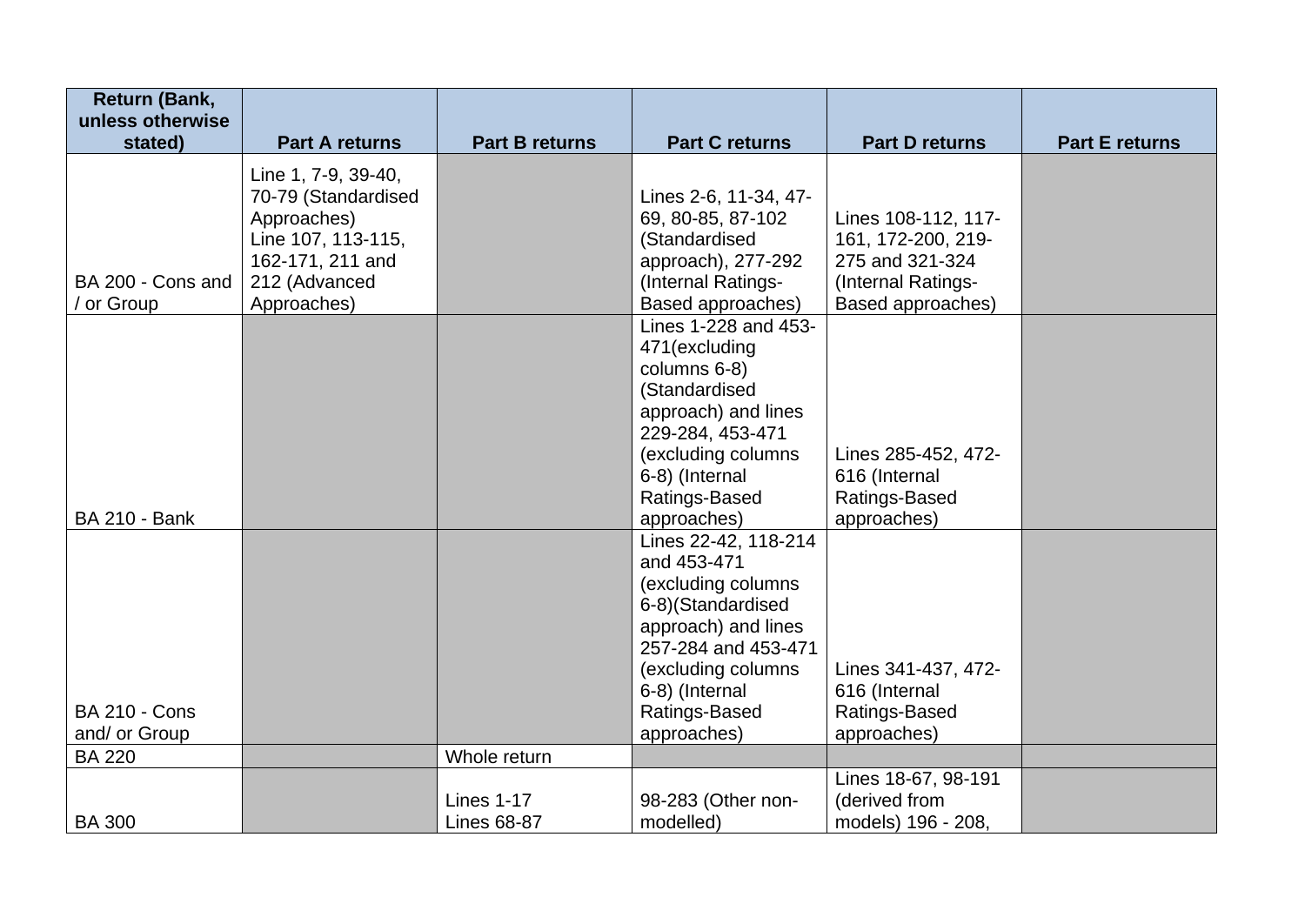| <b>Return (Bank,</b>                                          |                                                                                                                      |                                         |                                                                                                                                                                                                                      |                                                                                     |                       |
|---------------------------------------------------------------|----------------------------------------------------------------------------------------------------------------------|-----------------------------------------|----------------------------------------------------------------------------------------------------------------------------------------------------------------------------------------------------------------------|-------------------------------------------------------------------------------------|-----------------------|
| unless otherwise<br>stated)                                   | <b>Part A returns</b>                                                                                                | <b>Part B returns</b>                   | <b>Part C returns</b>                                                                                                                                                                                                | <b>Part D returns</b>                                                               | <b>Part E returns</b> |
| BA 200 - Cons and                                             | Line 1, 7-9, 39-40,<br>70-79 (Standardised<br>Approaches)<br>Line 107, 113-115,<br>162-171, 211 and<br>212 (Advanced |                                         | Lines 2-6, 11-34, 47-<br>69, 80-85, 87-102<br>(Standardised<br>approach), 277-292<br>(Internal Ratings-                                                                                                              | Lines 108-112, 117-<br>161, 172-200, 219-<br>275 and 321-324<br>(Internal Ratings-  |                       |
| / or Group                                                    | Approaches)                                                                                                          |                                         | Based approaches)<br>Lines 1-228 and 453-<br>471(excluding<br>columns 6-8)<br>(Standardised<br>approach) and lines<br>229-284, 453-471<br>(excluding columns<br>6-8) (Internal<br>Ratings-Based                      | Based approaches)<br>Lines 285-452, 472-<br>616 (Internal<br>Ratings-Based          |                       |
| <b>BA 210 - Bank</b><br><b>BA 210 - Cons</b><br>and/ or Group |                                                                                                                      |                                         | approaches)<br>Lines 22-42, 118-214<br>and 453-471<br>(excluding columns<br>6-8)(Standardised<br>approach) and lines<br>257-284 and 453-471<br>(excluding columns)<br>6-8) (Internal<br>Ratings-Based<br>approaches) | approaches)<br>Lines 341-437, 472-<br>616 (Internal<br>Ratings-Based<br>approaches) |                       |
| <b>BA 220</b>                                                 |                                                                                                                      | Whole return                            |                                                                                                                                                                                                                      |                                                                                     |                       |
| <b>BA 300</b>                                                 |                                                                                                                      | <b>Lines 1-17</b><br><b>Lines 68-87</b> | 98-283 (Other non-<br>modelled)                                                                                                                                                                                      | Lines 18-67, 98-191<br>(derived from<br>models) 196 - 208,                          |                       |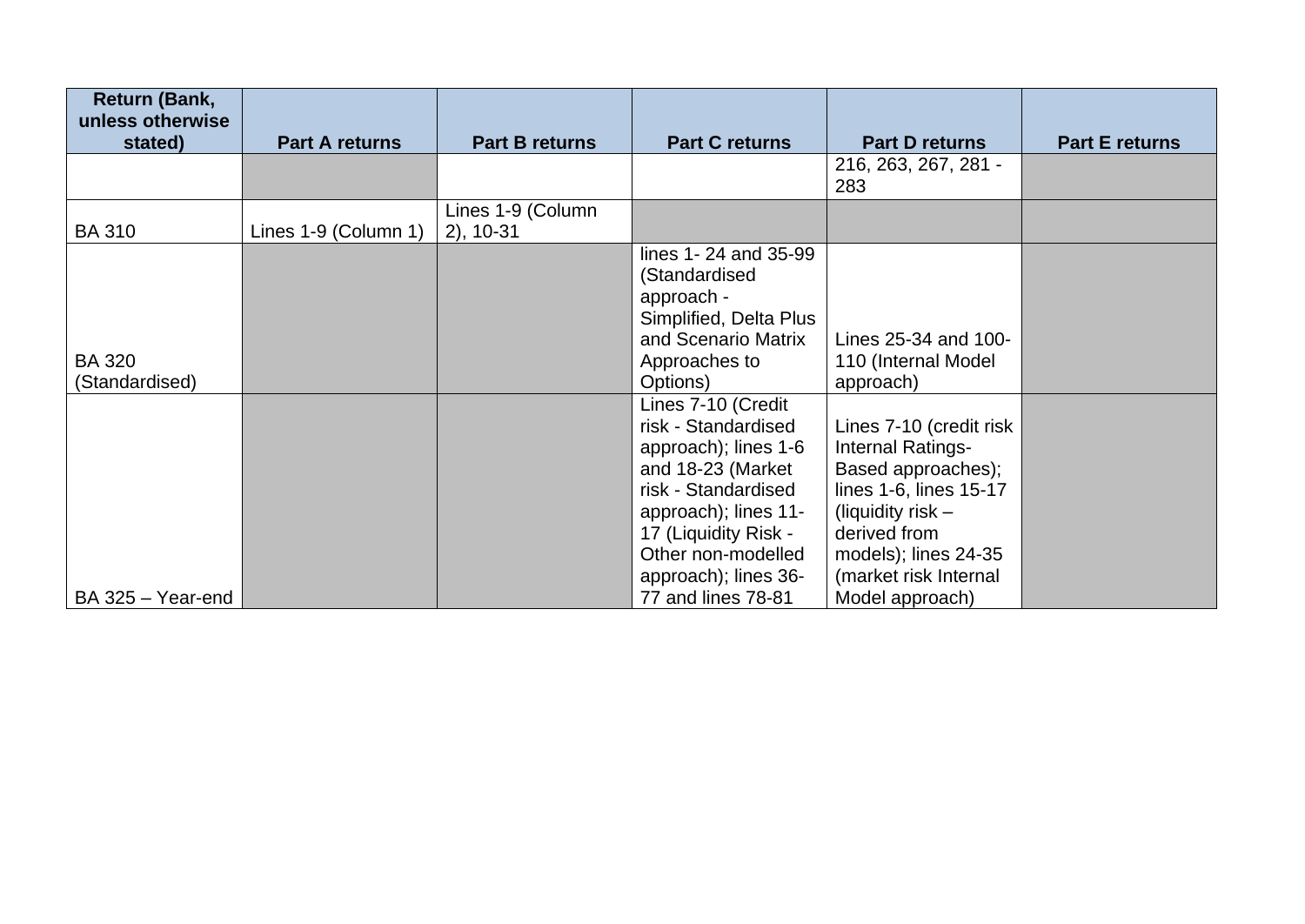| Return (Bank,<br>unless otherwise |                       |                                   |                                                                                                                                                                                                             |                                                                                                                                                                                      |                       |
|-----------------------------------|-----------------------|-----------------------------------|-------------------------------------------------------------------------------------------------------------------------------------------------------------------------------------------------------------|--------------------------------------------------------------------------------------------------------------------------------------------------------------------------------------|-----------------------|
| stated)                           | <b>Part A returns</b> | <b>Part B returns</b>             | <b>Part C returns</b>                                                                                                                                                                                       | <b>Part D returns</b>                                                                                                                                                                | <b>Part E returns</b> |
|                                   |                       |                                   |                                                                                                                                                                                                             | 216, 263, 267, 281 -<br>283                                                                                                                                                          |                       |
| <b>BA 310</b>                     | Lines 1-9 (Column 1)  | Lines 1-9 (Column<br>$2)$ , 10-31 |                                                                                                                                                                                                             |                                                                                                                                                                                      |                       |
|                                   |                       |                                   | lines 1-24 and 35-99<br>(Standardised<br>approach -<br>Simplified, Delta Plus<br>and Scenario Matrix                                                                                                        | Lines 25-34 and 100-                                                                                                                                                                 |                       |
| <b>BA 320</b><br>(Standardised)   |                       |                                   | Approaches to<br>Options)                                                                                                                                                                                   | 110 (Internal Model<br>approach)                                                                                                                                                     |                       |
|                                   |                       |                                   | Lines 7-10 (Credit<br>risk - Standardised<br>approach); lines 1-6<br>and 18-23 (Market<br>risk - Standardised<br>approach); lines 11-<br>17 (Liquidity Risk -<br>Other non-modelled<br>approach); lines 36- | Lines 7-10 (credit risk<br>Internal Ratings-<br>Based approaches);<br>lines 1-6, lines 15-17<br>(liquidity risk $-$<br>derived from<br>models); lines 24-35<br>(market risk Internal |                       |
| BA 325 - Year-end                 |                       |                                   | 77 and lines 78-81                                                                                                                                                                                          | Model approach)                                                                                                                                                                      |                       |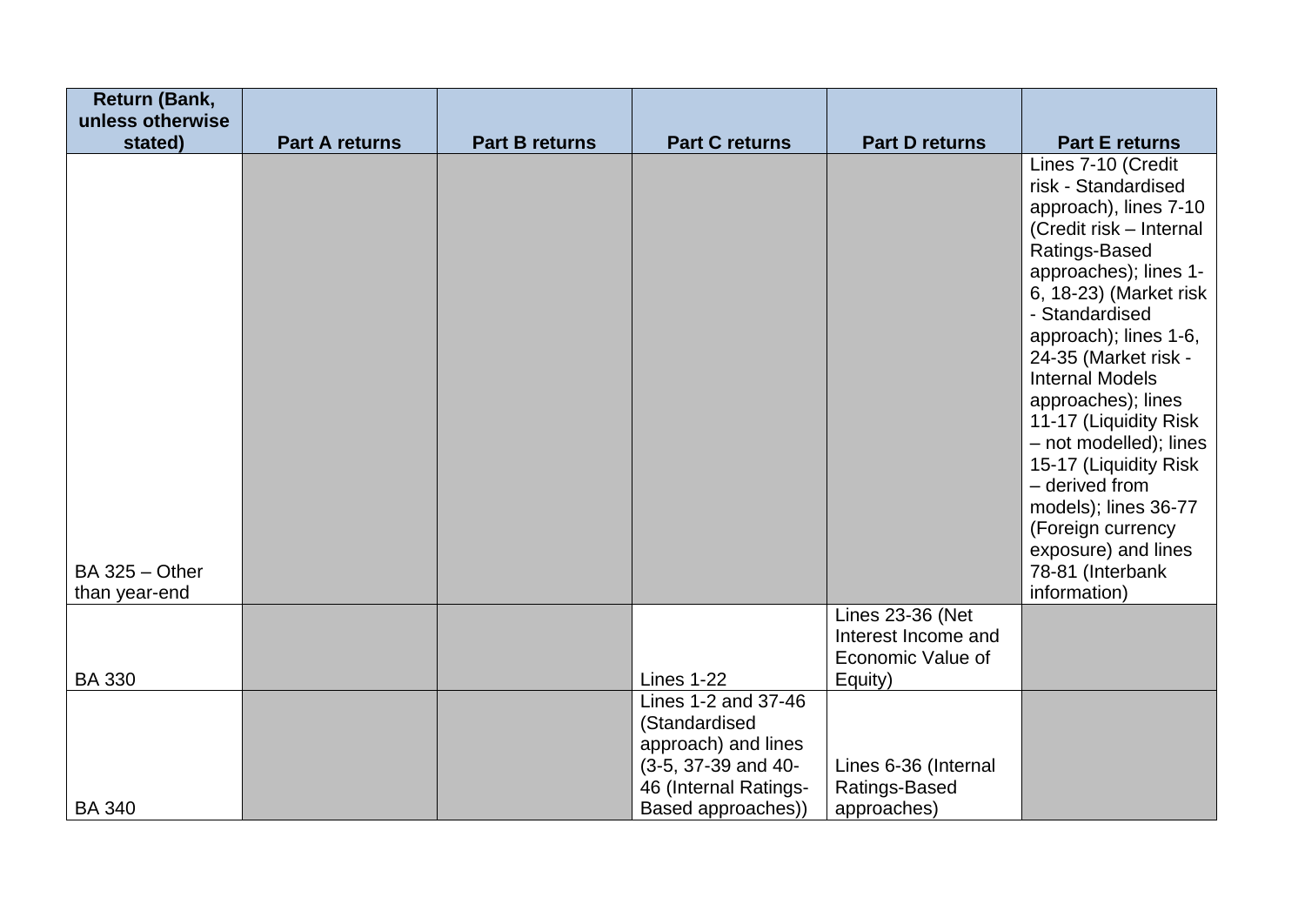| <b>Return (Bank,</b><br>unless otherwise |                       |                       |                                                                                                                                   |                                                                         |                                                                                                                                                                                                                                                                                                                                                                                                                                                                                            |
|------------------------------------------|-----------------------|-----------------------|-----------------------------------------------------------------------------------------------------------------------------------|-------------------------------------------------------------------------|--------------------------------------------------------------------------------------------------------------------------------------------------------------------------------------------------------------------------------------------------------------------------------------------------------------------------------------------------------------------------------------------------------------------------------------------------------------------------------------------|
| stated)                                  | <b>Part A returns</b> | <b>Part B returns</b> | <b>Part C returns</b>                                                                                                             | <b>Part D returns</b>                                                   | <b>Part E returns</b>                                                                                                                                                                                                                                                                                                                                                                                                                                                                      |
| $BA$ 325 $-$ Other<br>than year-end      |                       |                       |                                                                                                                                   |                                                                         | Lines 7-10 (Credit<br>risk - Standardised<br>approach), lines 7-10<br>(Credit risk - Internal<br>Ratings-Based<br>approaches); lines 1-<br>6, 18-23) (Market risk<br>- Standardised<br>approach); lines 1-6,<br>24-35 (Market risk -<br><b>Internal Models</b><br>approaches); lines<br>11-17 (Liquidity Risk<br>- not modelled); lines<br>15-17 (Liquidity Risk<br>- derived from<br>models); lines 36-77<br>(Foreign currency<br>exposure) and lines<br>78-81 (Interbank<br>information) |
| <b>BA 330</b>                            |                       |                       | <b>Lines 1-22</b>                                                                                                                 | Lines 23-36 (Net<br>Interest Income and<br>Economic Value of<br>Equity) |                                                                                                                                                                                                                                                                                                                                                                                                                                                                                            |
| <b>BA 340</b>                            |                       |                       | Lines 1-2 and 37-46<br>(Standardised<br>approach) and lines<br>(3-5, 37-39 and 40-<br>46 (Internal Ratings-<br>Based approaches)) | Lines 6-36 (Internal<br>Ratings-Based<br>approaches)                    |                                                                                                                                                                                                                                                                                                                                                                                                                                                                                            |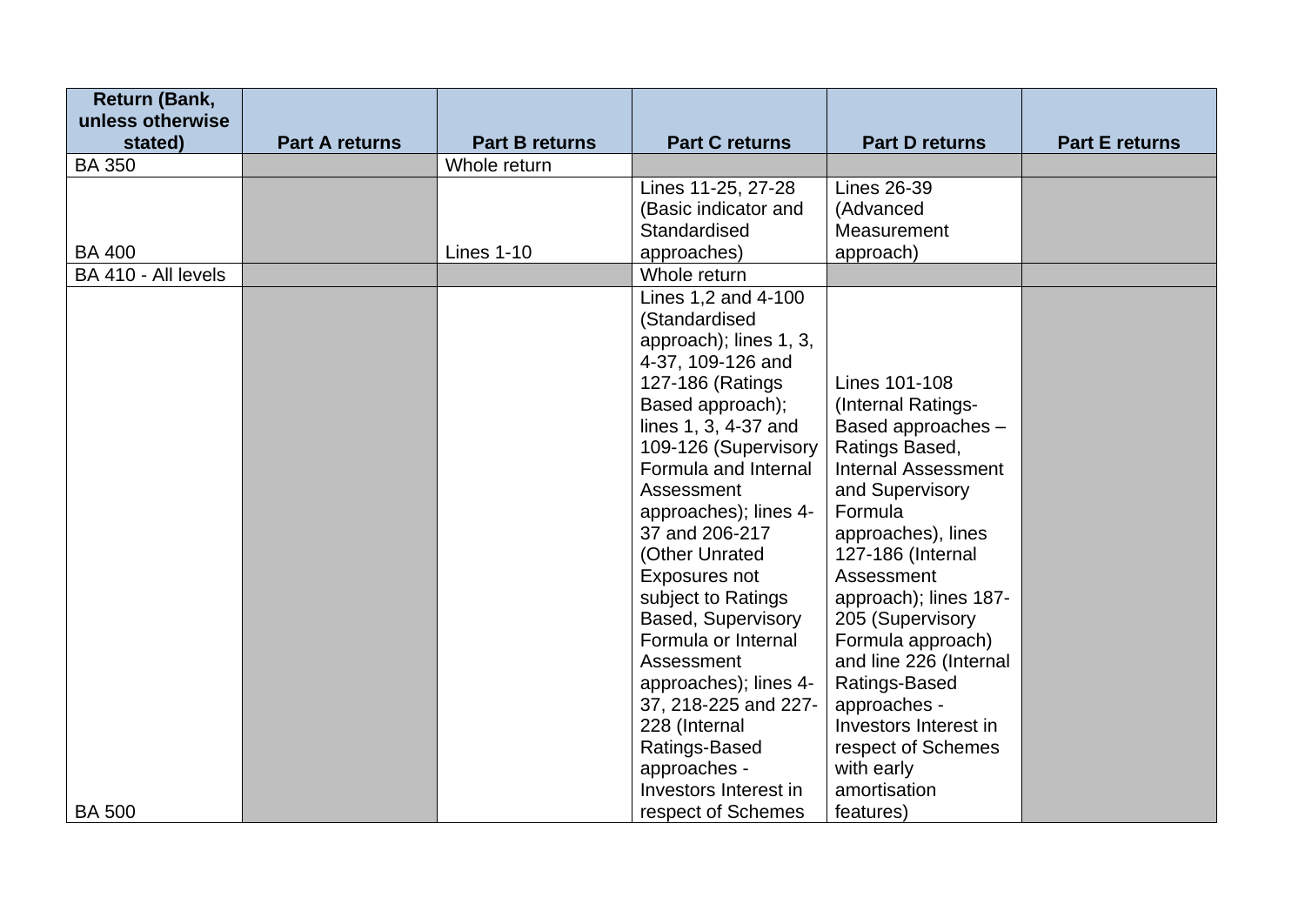| <b>Return (Bank,</b><br>unless otherwise |                       |                       |                           |                            |                       |
|------------------------------------------|-----------------------|-----------------------|---------------------------|----------------------------|-----------------------|
| stated)                                  | <b>Part A returns</b> | <b>Part B returns</b> | <b>Part C returns</b>     | <b>Part D returns</b>      | <b>Part E returns</b> |
| <b>BA 350</b>                            |                       | Whole return          |                           |                            |                       |
|                                          |                       |                       | Lines 11-25, 27-28        | <b>Lines 26-39</b>         |                       |
|                                          |                       |                       | (Basic indicator and      | (Advanced                  |                       |
|                                          |                       |                       | Standardised              | Measurement                |                       |
| <b>BA 400</b>                            |                       | <b>Lines 1-10</b>     | approaches)               | approach)                  |                       |
| BA 410 - All levels                      |                       |                       | Whole return              |                            |                       |
|                                          |                       |                       | Lines 1,2 and 4-100       |                            |                       |
|                                          |                       |                       | (Standardised             |                            |                       |
|                                          |                       |                       | approach); lines 1, 3,    |                            |                       |
|                                          |                       |                       | 4-37, 109-126 and         |                            |                       |
|                                          |                       |                       | 127-186 (Ratings)         | Lines 101-108              |                       |
|                                          |                       |                       | Based approach);          | (Internal Ratings-         |                       |
|                                          |                       |                       | lines 1, 3, 4-37 and      | Based approaches -         |                       |
|                                          |                       |                       | 109-126 (Supervisory      | Ratings Based,             |                       |
|                                          |                       |                       | Formula and Internal      | <b>Internal Assessment</b> |                       |
|                                          |                       |                       | Assessment                | and Supervisory            |                       |
|                                          |                       |                       | approaches); lines 4-     | Formula                    |                       |
|                                          |                       |                       | 37 and 206-217            | approaches), lines         |                       |
|                                          |                       |                       | (Other Unrated            | 127-186 (Internal          |                       |
|                                          |                       |                       | Exposures not             | Assessment                 |                       |
|                                          |                       |                       | subject to Ratings        | approach); lines 187-      |                       |
|                                          |                       |                       | <b>Based, Supervisory</b> | 205 (Supervisory           |                       |
|                                          |                       |                       | Formula or Internal       | Formula approach)          |                       |
|                                          |                       |                       | Assessment                | and line 226 (Internal     |                       |
|                                          |                       |                       | approaches); lines 4-     | Ratings-Based              |                       |
|                                          |                       |                       | 37, 218-225 and 227-      | approaches -               |                       |
|                                          |                       |                       | 228 (Internal             | Investors Interest in      |                       |
|                                          |                       |                       | Ratings-Based             | respect of Schemes         |                       |
|                                          |                       |                       | approaches -              | with early                 |                       |
|                                          |                       |                       | Investors Interest in     | amortisation               |                       |
| <b>BA 500</b>                            |                       |                       | respect of Schemes        | features)                  |                       |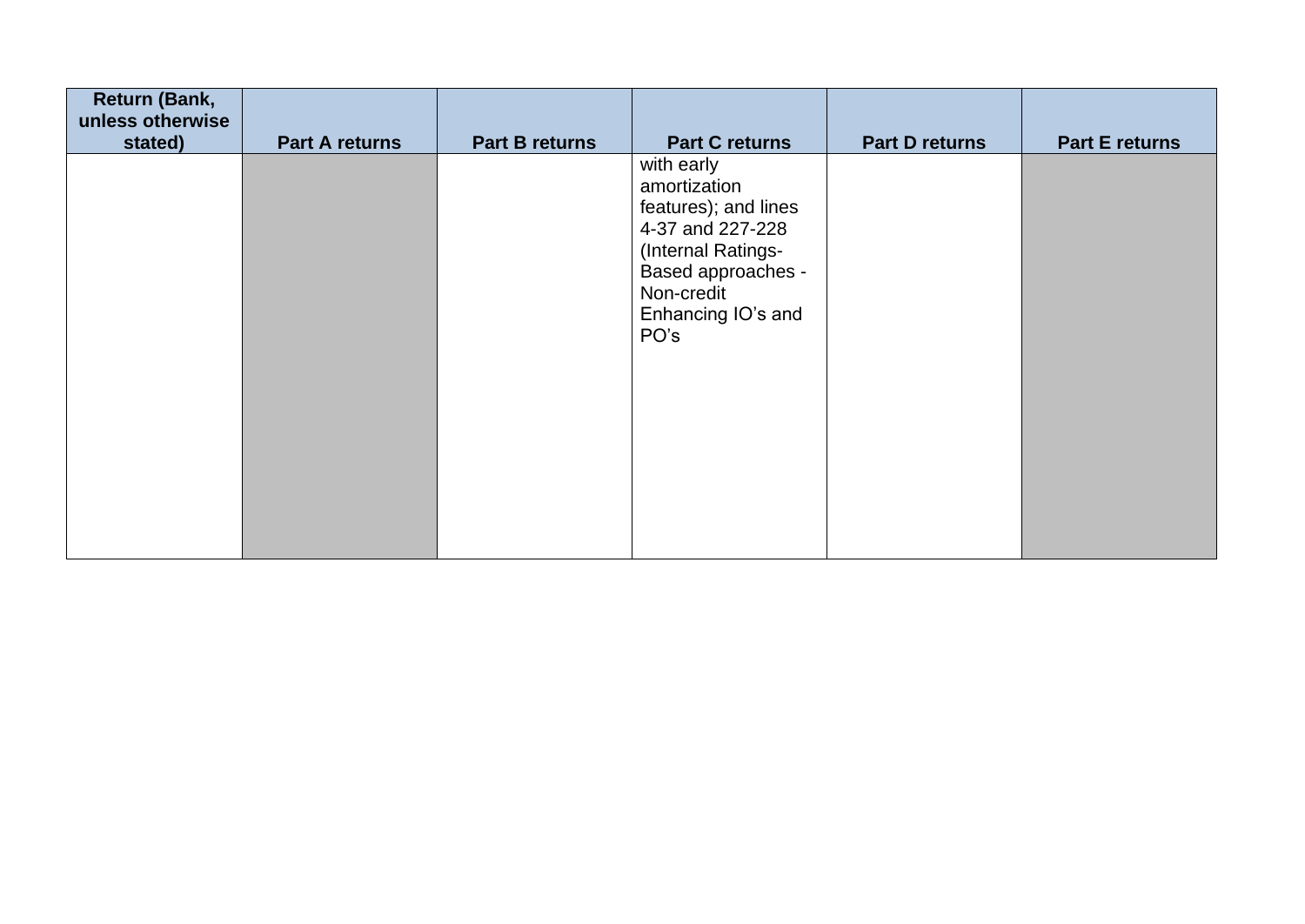| <b>Return (Bank,</b><br>unless otherwise |                       |                       |                                                                                                                                                                       |                |                       |
|------------------------------------------|-----------------------|-----------------------|-----------------------------------------------------------------------------------------------------------------------------------------------------------------------|----------------|-----------------------|
| stated)                                  | <b>Part A returns</b> | <b>Part B returns</b> | <b>Part C returns</b>                                                                                                                                                 | Part D returns | <b>Part E returns</b> |
|                                          |                       |                       | with early<br>amortization<br>features); and lines<br>4-37 and 227-228<br>(Internal Ratings-<br><b>Based approaches -</b><br>Non-credit<br>Enhancing IO's and<br>PO's |                |                       |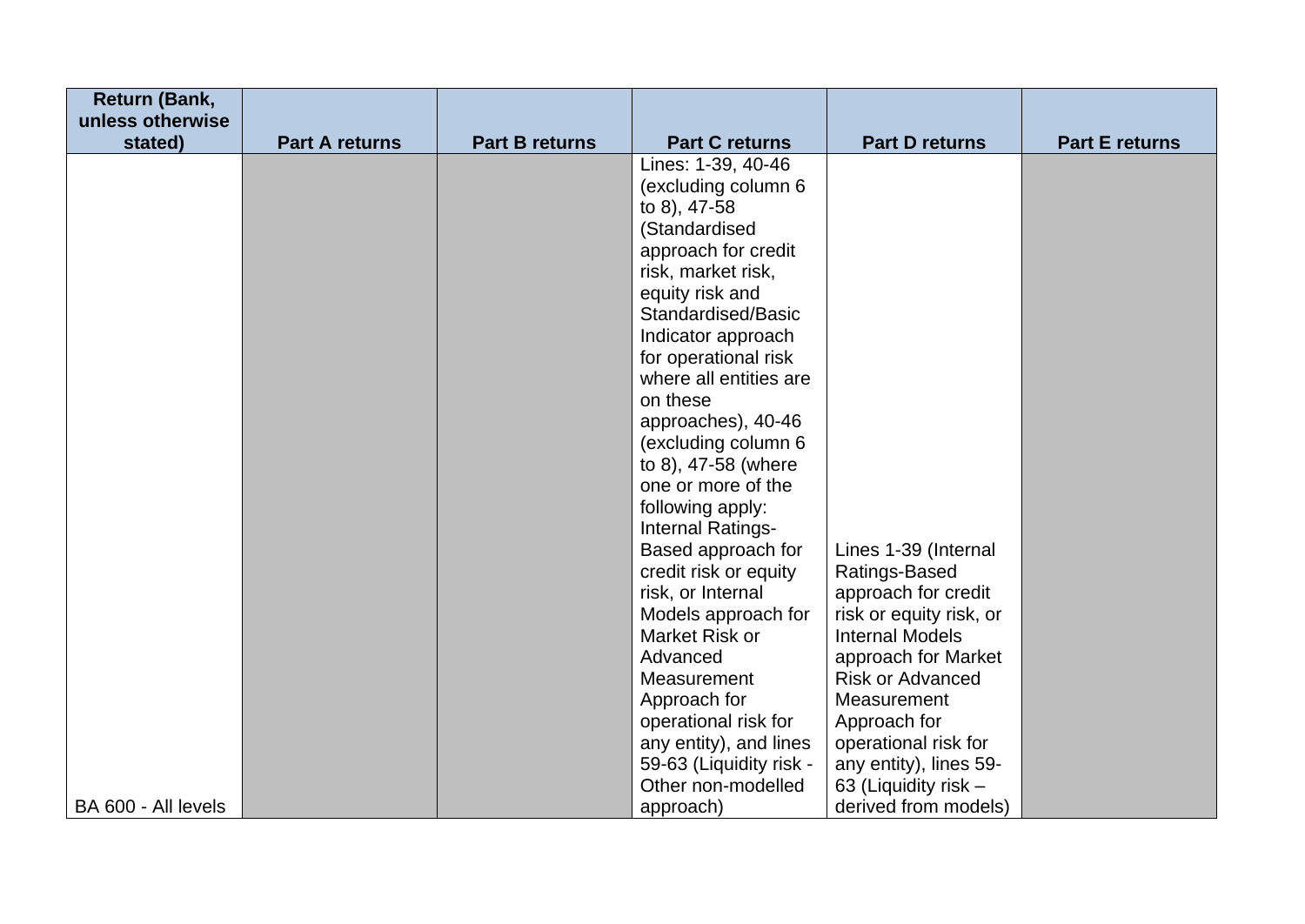| <b>Return (Bank,</b>        |                       |                       |                                               |                                                |                       |
|-----------------------------|-----------------------|-----------------------|-----------------------------------------------|------------------------------------------------|-----------------------|
| unless otherwise<br>stated) | <b>Part A returns</b> | <b>Part B returns</b> | <b>Part C returns</b>                         | <b>Part D returns</b>                          | <b>Part E returns</b> |
|                             |                       |                       | Lines: 1-39, 40-46                            |                                                |                       |
|                             |                       |                       | (excluding column 6                           |                                                |                       |
|                             |                       |                       | to 8), 47-58                                  |                                                |                       |
|                             |                       |                       | (Standardised                                 |                                                |                       |
|                             |                       |                       | approach for credit                           |                                                |                       |
|                             |                       |                       | risk, market risk,                            |                                                |                       |
|                             |                       |                       | equity risk and                               |                                                |                       |
|                             |                       |                       | Standardised/Basic<br>Indicator approach      |                                                |                       |
|                             |                       |                       | for operational risk                          |                                                |                       |
|                             |                       |                       | where all entities are                        |                                                |                       |
|                             |                       |                       | on these                                      |                                                |                       |
|                             |                       |                       | approaches), 40-46                            |                                                |                       |
|                             |                       |                       | (excluding column 6)                          |                                                |                       |
|                             |                       |                       | to 8), 47-58 (where                           |                                                |                       |
|                             |                       |                       | one or more of the                            |                                                |                       |
|                             |                       |                       | following apply:                              |                                                |                       |
|                             |                       |                       | Internal Ratings-<br>Based approach for       | Lines 1-39 (Internal                           |                       |
|                             |                       |                       | credit risk or equity                         | Ratings-Based                                  |                       |
|                             |                       |                       | risk, or Internal                             | approach for credit                            |                       |
|                             |                       |                       | Models approach for                           | risk or equity risk, or                        |                       |
|                             |                       |                       | Market Risk or                                | <b>Internal Models</b>                         |                       |
|                             |                       |                       | Advanced                                      | approach for Market                            |                       |
|                             |                       |                       | Measurement                                   | <b>Risk or Advanced</b>                        |                       |
|                             |                       |                       | Approach for                                  | Measurement                                    |                       |
|                             |                       |                       | operational risk for                          | Approach for                                   |                       |
|                             |                       |                       | any entity), and lines                        | operational risk for                           |                       |
|                             |                       |                       | 59-63 (Liquidity risk -<br>Other non-modelled | any entity), lines 59-<br>63 (Liquidity risk - |                       |
| BA 600 - All levels         |                       |                       | approach)                                     | derived from models)                           |                       |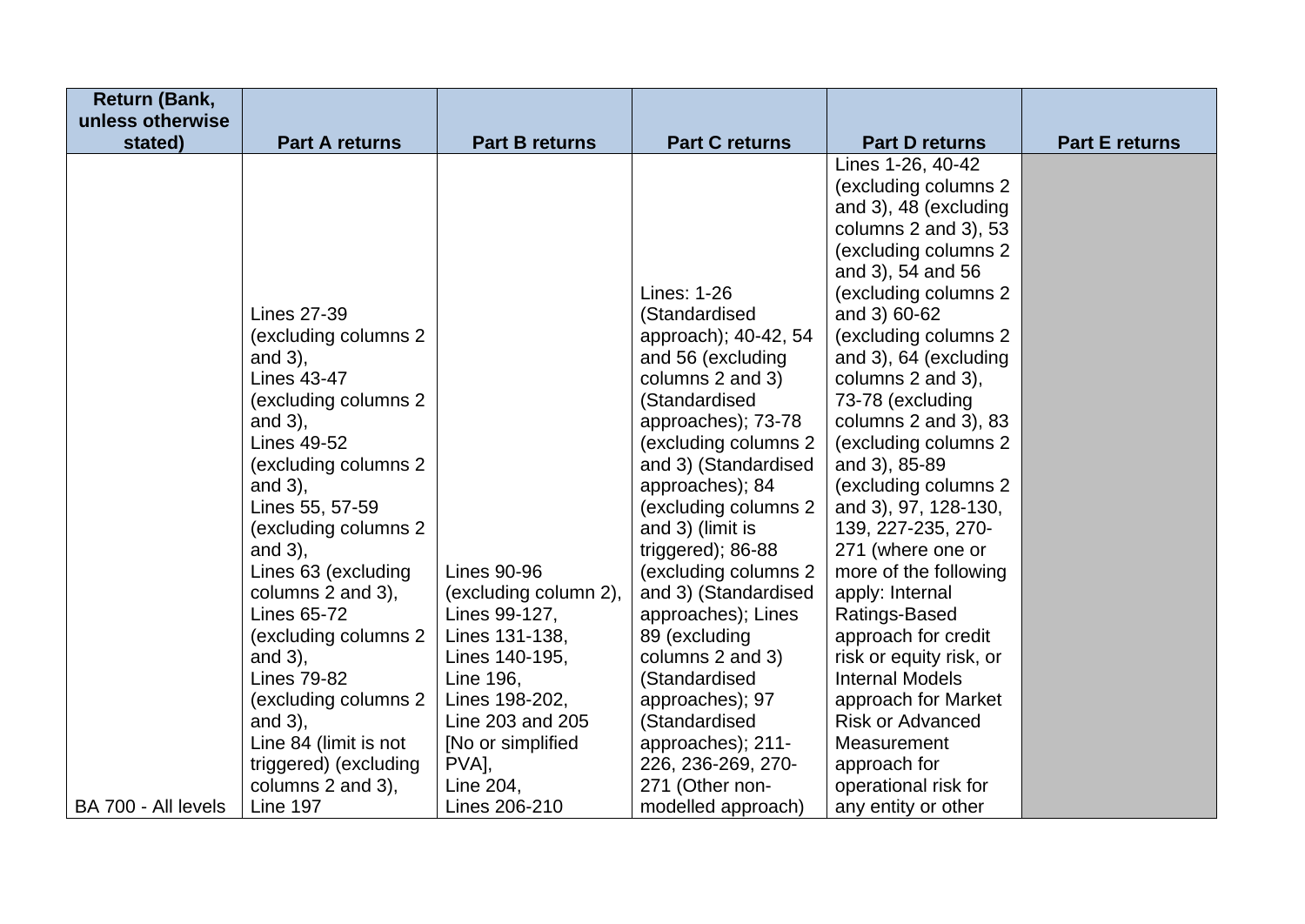| <b>Return (Bank,</b> |                       |                       |                       |                                      |                       |
|----------------------|-----------------------|-----------------------|-----------------------|--------------------------------------|-----------------------|
| unless otherwise     |                       |                       |                       |                                      |                       |
| stated)              | <b>Part A returns</b> | <b>Part B returns</b> | <b>Part C returns</b> | <b>Part D returns</b>                | <b>Part E returns</b> |
|                      |                       |                       |                       | Lines 1-26, 40-42                    |                       |
|                      |                       |                       |                       | (excluding columns 2                 |                       |
|                      |                       |                       |                       | and 3), 48 (excluding                |                       |
|                      |                       |                       |                       | columns $2$ and $3$ ), $53$          |                       |
|                      |                       |                       |                       | (excluding columns 2                 |                       |
|                      |                       |                       | Lines: 1-26           | and 3), 54 and 56                    |                       |
|                      | <b>Lines 27-39</b>    |                       | (Standardised         | (excluding columns 2<br>and 3) 60-62 |                       |
|                      | (excluding columns 2  |                       | approach); 40-42, 54  | (excluding columns 2                 |                       |
|                      | and $3$ ),            |                       | and 56 (excluding     | and 3), 64 (excluding                |                       |
|                      | <b>Lines 43-47</b>    |                       | columns 2 and 3)      | columns 2 and 3),                    |                       |
|                      | (excluding columns 2  |                       | (Standardised         | 73-78 (excluding                     |                       |
|                      | and $3$ ),            |                       | approaches); 73-78    | columns 2 and 3), 83                 |                       |
|                      | <b>Lines 49-52</b>    |                       | (excluding columns 2) | (excluding columns 2                 |                       |
|                      | (excluding columns 2) |                       | and 3) (Standardised  | and 3), 85-89                        |                       |
|                      | and $3$ ),            |                       | approaches); 84       | (excluding columns 2                 |                       |
|                      | Lines 55, 57-59       |                       | (excluding columns 2  | and 3), 97, 128-130,                 |                       |
|                      | (excluding columns 2  |                       | and 3) (limit is      | 139, 227-235, 270-                   |                       |
|                      | and $3$ ),            |                       | triggered); 86-88     | 271 (where one or                    |                       |
|                      | Lines 63 (excluding   | <b>Lines 90-96</b>    | (excluding columns 2  | more of the following                |                       |
|                      | columns 2 and 3),     | (excluding column 2), | and 3) (Standardised  | apply: Internal                      |                       |
|                      | <b>Lines 65-72</b>    | Lines 99-127,         | approaches); Lines    | Ratings-Based                        |                       |
|                      | (excluding columns 2  | Lines 131-138,        | 89 (excluding         | approach for credit                  |                       |
|                      | and $3$ ),            | Lines 140-195,        | columns 2 and 3)      | risk or equity risk, or              |                       |
|                      | <b>Lines 79-82</b>    | Line 196,             | (Standardised         | <b>Internal Models</b>               |                       |
|                      | (excluding columns 2  | Lines 198-202,        | approaches); 97       | approach for Market                  |                       |
|                      | and $3$ ),            | Line 203 and 205      | (Standardised         | <b>Risk or Advanced</b>              |                       |
|                      | Line 84 (limit is not | [No or simplified]    | approaches); 211-     | Measurement                          |                       |
|                      | triggered) (excluding | PVA],                 | 226, 236-269, 270-    | approach for                         |                       |
|                      | columns 2 and 3),     | Line 204,             | 271 (Other non-       | operational risk for                 |                       |
| BA 700 - All levels  | <b>Line 197</b>       | Lines 206-210         | modelled approach)    | any entity or other                  |                       |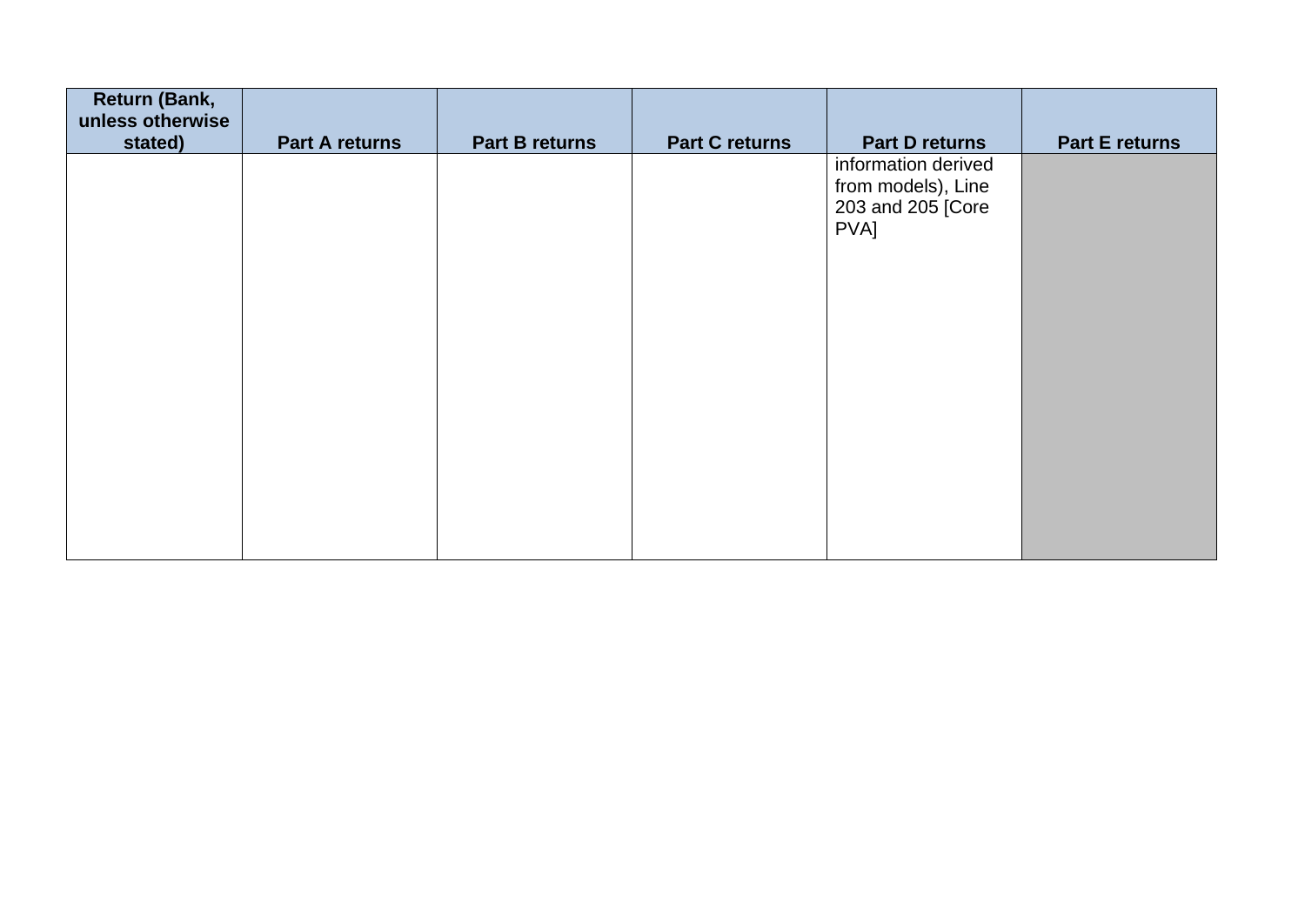| <b>Return (Bank,</b><br>unless otherwise |                       |                       |                       |                                                                                                 |                       |
|------------------------------------------|-----------------------|-----------------------|-----------------------|-------------------------------------------------------------------------------------------------|-----------------------|
|                                          |                       |                       |                       |                                                                                                 |                       |
| stated)                                  | <b>Part A returns</b> | <b>Part B returns</b> | <b>Part C returns</b> | <b>Part D returns</b><br>information derived<br>from models), Line<br>203 and 205 [Core<br>PVA] | <b>Part E returns</b> |
|                                          |                       |                       |                       |                                                                                                 |                       |
|                                          |                       |                       |                       |                                                                                                 |                       |